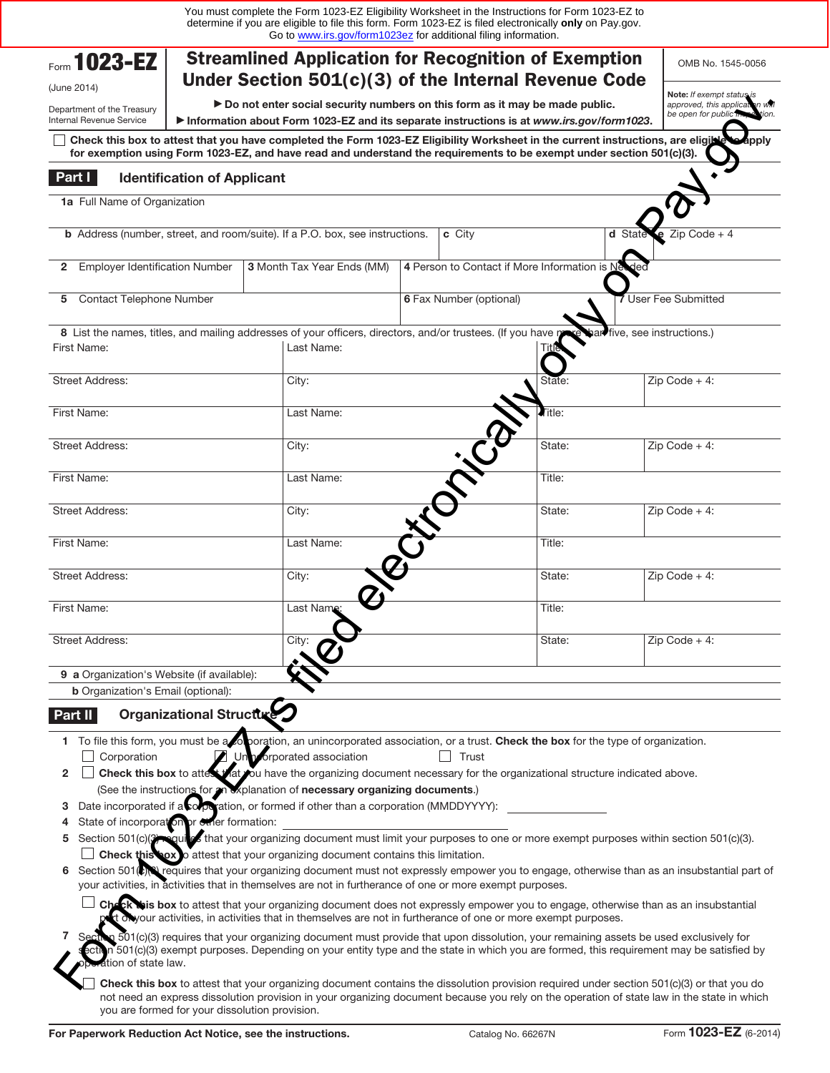|                                                                                                                                                                                              |                                                                                                                     | You must complete the Form 1023-EZ Eligibility Worksheet in the Instructions for Form 1023-EZ to<br>determine if you are eligible to file this form. Form 1023-EZ is filed electronically only on Pay.gov.                                                                                                                                                                                                                                                                                                                                                                                                                                                                                                                                                                                                                                                                                                                                                                                                                                                                                                                                                                                                                                                                                                                                                                                                                                                                                                                                                                                                                                                                      | Go to www.irs.gov/form1023ez for additional filing information.                                                                                     |         |                    |  |
|----------------------------------------------------------------------------------------------------------------------------------------------------------------------------------------------|---------------------------------------------------------------------------------------------------------------------|---------------------------------------------------------------------------------------------------------------------------------------------------------------------------------------------------------------------------------------------------------------------------------------------------------------------------------------------------------------------------------------------------------------------------------------------------------------------------------------------------------------------------------------------------------------------------------------------------------------------------------------------------------------------------------------------------------------------------------------------------------------------------------------------------------------------------------------------------------------------------------------------------------------------------------------------------------------------------------------------------------------------------------------------------------------------------------------------------------------------------------------------------------------------------------------------------------------------------------------------------------------------------------------------------------------------------------------------------------------------------------------------------------------------------------------------------------------------------------------------------------------------------------------------------------------------------------------------------------------------------------------------------------------------------------|-----------------------------------------------------------------------------------------------------------------------------------------------------|---------|--------------------|--|
| Form 1023-EZ                                                                                                                                                                                 | <b>Streamlined Application for Recognition of Exemption</b><br>Under Section 501(c)(3) of the Internal Revenue Code |                                                                                                                                                                                                                                                                                                                                                                                                                                                                                                                                                                                                                                                                                                                                                                                                                                                                                                                                                                                                                                                                                                                                                                                                                                                                                                                                                                                                                                                                                                                                                                                                                                                                                 |                                                                                                                                                     |         |                    |  |
| (June 2014)                                                                                                                                                                                  | Do not enter social security numbers on this form as it may be made public.                                         | Note: If exempt status is<br>approved, this applicat                                                                                                                                                                                                                                                                                                                                                                                                                                                                                                                                                                                                                                                                                                                                                                                                                                                                                                                                                                                                                                                                                                                                                                                                                                                                                                                                                                                                                                                                                                                                                                                                                            |                                                                                                                                                     |         |                    |  |
| Department of the Treasury<br>Internal Revenue Service                                                                                                                                       | Information about Form 1023-EZ and its separate instructions is at www.irs.gov/form1023.                            | be open for public'                                                                                                                                                                                                                                                                                                                                                                                                                                                                                                                                                                                                                                                                                                                                                                                                                                                                                                                                                                                                                                                                                                                                                                                                                                                                                                                                                                                                                                                                                                                                                                                                                                                             |                                                                                                                                                     |         |                    |  |
|                                                                                                                                                                                              |                                                                                                                     | Check this box to attest that you have completed the Form 1023-EZ Eligibility Worksheet in the current instructions, are eligible<br>for exemption using Form 1023-EZ, and have read and understand the requirements to be exempt under section 501(c)(3).                                                                                                                                                                                                                                                                                                                                                                                                                                                                                                                                                                                                                                                                                                                                                                                                                                                                                                                                                                                                                                                                                                                                                                                                                                                                                                                                                                                                                      |                                                                                                                                                     |         | apply              |  |
| <b>Part I</b>                                                                                                                                                                                | <b>Identification of Applicant</b>                                                                                  |                                                                                                                                                                                                                                                                                                                                                                                                                                                                                                                                                                                                                                                                                                                                                                                                                                                                                                                                                                                                                                                                                                                                                                                                                                                                                                                                                                                                                                                                                                                                                                                                                                                                                 |                                                                                                                                                     |         |                    |  |
| 1a Full Name of Organization                                                                                                                                                                 |                                                                                                                     |                                                                                                                                                                                                                                                                                                                                                                                                                                                                                                                                                                                                                                                                                                                                                                                                                                                                                                                                                                                                                                                                                                                                                                                                                                                                                                                                                                                                                                                                                                                                                                                                                                                                                 |                                                                                                                                                     |         |                    |  |
|                                                                                                                                                                                              |                                                                                                                     | <b>b</b> Address (number, street, and room/suite). If a P.O. box, see instructions.                                                                                                                                                                                                                                                                                                                                                                                                                                                                                                                                                                                                                                                                                                                                                                                                                                                                                                                                                                                                                                                                                                                                                                                                                                                                                                                                                                                                                                                                                                                                                                                             | c City                                                                                                                                              | d State | $Zip Code + 4$     |  |
| <b>Employer Identification Number</b><br>$\mathbf{2}$                                                                                                                                        |                                                                                                                     | 3 Month Tax Year Ends (MM)                                                                                                                                                                                                                                                                                                                                                                                                                                                                                                                                                                                                                                                                                                                                                                                                                                                                                                                                                                                                                                                                                                                                                                                                                                                                                                                                                                                                                                                                                                                                                                                                                                                      | 4 Person to Contact if More Information is Net                                                                                                      |         |                    |  |
| <b>Contact Telephone Number</b><br>5                                                                                                                                                         |                                                                                                                     |                                                                                                                                                                                                                                                                                                                                                                                                                                                                                                                                                                                                                                                                                                                                                                                                                                                                                                                                                                                                                                                                                                                                                                                                                                                                                                                                                                                                                                                                                                                                                                                                                                                                                 | 6 Fax Number (optional)                                                                                                                             |         | User Fee Submitted |  |
| First Name:                                                                                                                                                                                  |                                                                                                                     | Last Name:                                                                                                                                                                                                                                                                                                                                                                                                                                                                                                                                                                                                                                                                                                                                                                                                                                                                                                                                                                                                                                                                                                                                                                                                                                                                                                                                                                                                                                                                                                                                                                                                                                                                      | 8 List the names, titles, and mailing addresses of your officers, directors, and/or trustees. (If you have<br>ar five, see instructions.)<br>l itlé |         |                    |  |
| <b>Street Address:</b>                                                                                                                                                                       |                                                                                                                     | City:                                                                                                                                                                                                                                                                                                                                                                                                                                                                                                                                                                                                                                                                                                                                                                                                                                                                                                                                                                                                                                                                                                                                                                                                                                                                                                                                                                                                                                                                                                                                                                                                                                                                           |                                                                                                                                                     | State:  | $Zip Code + 4:$    |  |
| First Name:                                                                                                                                                                                  |                                                                                                                     | Last Name:                                                                                                                                                                                                                                                                                                                                                                                                                                                                                                                                                                                                                                                                                                                                                                                                                                                                                                                                                                                                                                                                                                                                                                                                                                                                                                                                                                                                                                                                                                                                                                                                                                                                      |                                                                                                                                                     |         |                    |  |
| <b>Street Address:</b>                                                                                                                                                                       |                                                                                                                     | City:                                                                                                                                                                                                                                                                                                                                                                                                                                                                                                                                                                                                                                                                                                                                                                                                                                                                                                                                                                                                                                                                                                                                                                                                                                                                                                                                                                                                                                                                                                                                                                                                                                                                           | $\overrightarrow{C}$                                                                                                                                |         | $Zip Code + 4:$    |  |
| First Name:                                                                                                                                                                                  |                                                                                                                     | Last Name:                                                                                                                                                                                                                                                                                                                                                                                                                                                                                                                                                                                                                                                                                                                                                                                                                                                                                                                                                                                                                                                                                                                                                                                                                                                                                                                                                                                                                                                                                                                                                                                                                                                                      |                                                                                                                                                     |         |                    |  |
| <b>Street Address:</b>                                                                                                                                                                       |                                                                                                                     | City:                                                                                                                                                                                                                                                                                                                                                                                                                                                                                                                                                                                                                                                                                                                                                                                                                                                                                                                                                                                                                                                                                                                                                                                                                                                                                                                                                                                                                                                                                                                                                                                                                                                                           |                                                                                                                                                     | State:  | $Zip Code + 4:$    |  |
| First Name:                                                                                                                                                                                  |                                                                                                                     | Last Name:                                                                                                                                                                                                                                                                                                                                                                                                                                                                                                                                                                                                                                                                                                                                                                                                                                                                                                                                                                                                                                                                                                                                                                                                                                                                                                                                                                                                                                                                                                                                                                                                                                                                      |                                                                                                                                                     |         | Title:             |  |
| <b>Street Address:</b>                                                                                                                                                                       |                                                                                                                     | City:                                                                                                                                                                                                                                                                                                                                                                                                                                                                                                                                                                                                                                                                                                                                                                                                                                                                                                                                                                                                                                                                                                                                                                                                                                                                                                                                                                                                                                                                                                                                                                                                                                                                           |                                                                                                                                                     |         | $Zip Code + 4:$    |  |
| First Name:                                                                                                                                                                                  |                                                                                                                     | Last Name:                                                                                                                                                                                                                                                                                                                                                                                                                                                                                                                                                                                                                                                                                                                                                                                                                                                                                                                                                                                                                                                                                                                                                                                                                                                                                                                                                                                                                                                                                                                                                                                                                                                                      |                                                                                                                                                     |         |                    |  |
| <b>Street Address:</b>                                                                                                                                                                       |                                                                                                                     | City:                                                                                                                                                                                                                                                                                                                                                                                                                                                                                                                                                                                                                                                                                                                                                                                                                                                                                                                                                                                                                                                                                                                                                                                                                                                                                                                                                                                                                                                                                                                                                                                                                                                                           |                                                                                                                                                     | State:  | $Zip Code + 4:$    |  |
| 9 a Organization's Website (if available):<br><b>b</b> Organization's Email (optional):                                                                                                      |                                                                                                                     |                                                                                                                                                                                                                                                                                                                                                                                                                                                                                                                                                                                                                                                                                                                                                                                                                                                                                                                                                                                                                                                                                                                                                                                                                                                                                                                                                                                                                                                                                                                                                                                                                                                                                 |                                                                                                                                                     |         |                    |  |
| Part II                                                                                                                                                                                      | <b>Organizational Structure</b>                                                                                     |                                                                                                                                                                                                                                                                                                                                                                                                                                                                                                                                                                                                                                                                                                                                                                                                                                                                                                                                                                                                                                                                                                                                                                                                                                                                                                                                                                                                                                                                                                                                                                                                                                                                                 |                                                                                                                                                     |         |                    |  |
| Corporation<br>$\mathbf{2}$<br>з<br>State of incorporation or other formation:<br>4<br>5<br>6<br>ation of state law.                                                                         |                                                                                                                     | 1 To file this form, you must be a oboration, an unincorporated association, or a trust. Check the box for the type of organization.<br>Un orporated association<br>Check this box to attes that you have the organizing document necessary for the organizational structure indicated above.<br>(See the instructions for an explanation of necessary organizing documents.)<br>Date incorporated if a corporation, or formed if other than a corporation (MMDDYYYY):<br>Section 501(c)(3) and collect that your organizing document must limit your purposes to one or more exempt purposes within section 501(c)(3).<br>$\Box$ Check this tox to attest that your organizing document contains this limitation.<br>Section 501( $\bullet$ ) requires that your organizing document must not expressly empower you to engage, otherwise than as an insubstantial part of<br>your activities, in activities that in themselves are not in furtherance of one or more exempt purposes.<br>Check his box to attest that your organizing document does not expressly empower you to engage, otherwise than as an insubstantial<br>to wour activities, in activities that in themselves are not in furtherance of one or more exempt purposes.<br>p 501(c)(3) requires that your organizing document must provide that upon dissolution, your remaining assets be used exclusively for<br>ection 501(c)(3) exempt purposes. Depending on your entity type and the state in which you are formed, this requirement may be satisfied by<br>Check this box to attest that your organizing document contains the dissolution provision required under section 501(c)(3) or that you do | Trust                                                                                                                                               |         |                    |  |
| not need an express dissolution provision in your organizing document because you rely on the operation of state law in the state in which<br>you are formed for your dissolution provision. |                                                                                                                     |                                                                                                                                                                                                                                                                                                                                                                                                                                                                                                                                                                                                                                                                                                                                                                                                                                                                                                                                                                                                                                                                                                                                                                                                                                                                                                                                                                                                                                                                                                                                                                                                                                                                                 |                                                                                                                                                     |         |                    |  |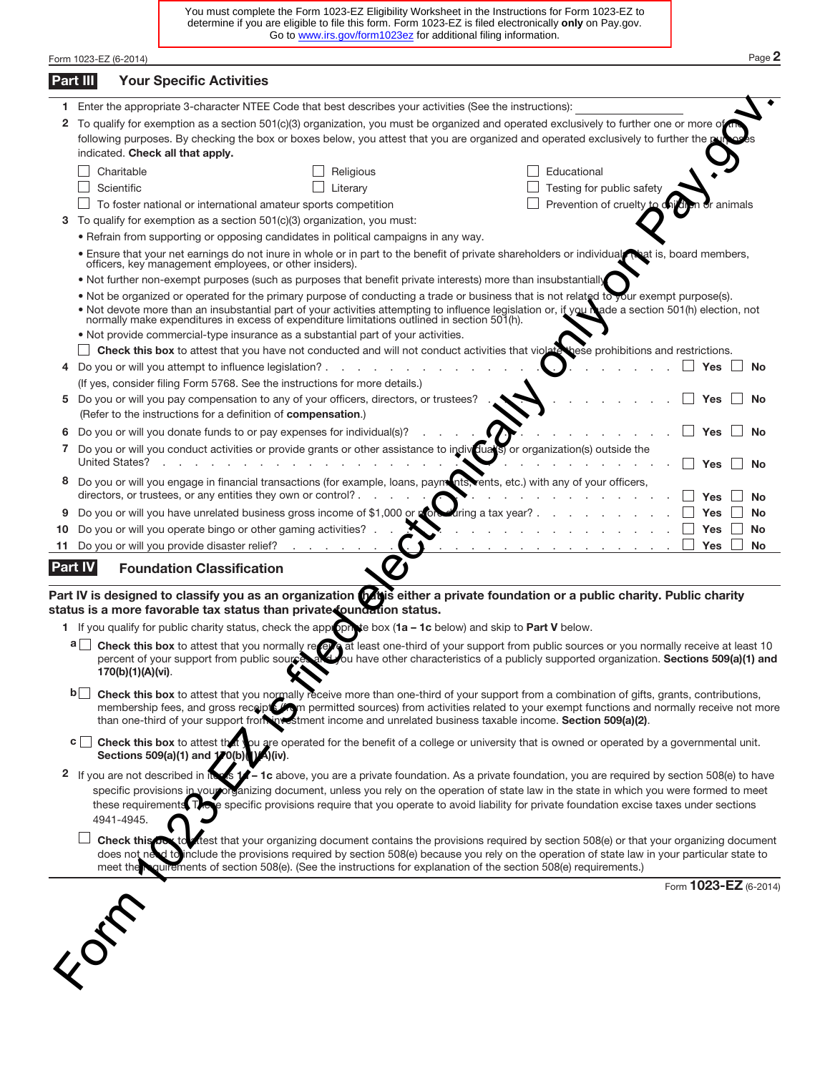You must complete the Form 1023-EZ Eligibility Worksheet in the Instructions for Form 1023-EZ to determine if you are eligible to file this form. Form 1023-EZ is filed electronically **only** on Pay.gov. Go to www.irs.gov/form1023ez for additional filing information.

Form 1023-EZ (6-2014) Page **2**

|    | Part III<br><b>Your Specific Activities</b>                                                                                                                                                                                                                                                                                                                                                                                                                                       |
|----|-----------------------------------------------------------------------------------------------------------------------------------------------------------------------------------------------------------------------------------------------------------------------------------------------------------------------------------------------------------------------------------------------------------------------------------------------------------------------------------|
|    | Enter the appropriate 3-character NTEE Code that best describes your activities (See the instructions):                                                                                                                                                                                                                                                                                                                                                                           |
| 2  | To qualify for exemption as a section 501(c)(3) organization, you must be organized and operated exclusively to further one or more of<br>following purposes. By checking the box or boxes below, you attest that you are organized and operated exclusively to further the p<br>indicated. Check all that apply.                                                                                                                                                                 |
|    | Charitable<br>Educational<br>Religious                                                                                                                                                                                                                                                                                                                                                                                                                                            |
|    | Scientific<br>Testing for public safety<br>Literary<br>Prevention of cruelty to chi<br>To foster national or international amateur sports competition<br>or animals                                                                                                                                                                                                                                                                                                               |
| З  | To qualify for exemption as a section 501(c)(3) organization, you must:                                                                                                                                                                                                                                                                                                                                                                                                           |
|    | • Refrain from supporting or opposing candidates in political campaigns in any way.                                                                                                                                                                                                                                                                                                                                                                                               |
|    | . Ensure that your net earnings do not inure in whole or in part to the benefit of private shareholders or individual that is, board members,<br>officers, key management employees, or other insiders).                                                                                                                                                                                                                                                                          |
|    | . Not further non-exempt purposes (such as purposes that benefit private interests) more than insubstantially                                                                                                                                                                                                                                                                                                                                                                     |
|    | . Not be organized or operated for the primary purpose of conducting a trade or business that is not related to your exempt purpose(s).<br>. Not devote more than an insubstantial part of your activities attempting to influence legislation or, if you hade a section 501(h) election, not<br>normally make expenditures in excess of expenditure limitations outlined in section 501(h).<br>. Not provide commercial-type insurance as a substantial part of your activities. |
|    | Check this box to attest that you have not conducted and will not conduct activities that violate<br>hese prohibitions and restrictions.                                                                                                                                                                                                                                                                                                                                          |
| 4  | Do you or will you attempt to influence legislation?<br>No<br><b>Yes</b>                                                                                                                                                                                                                                                                                                                                                                                                          |
|    | (If yes, consider filing Form 5768. See the instructions for more details.)                                                                                                                                                                                                                                                                                                                                                                                                       |
| 5  | Do you or will you pay compensation to any of your officers, directors, or trustees?<br>No<br>Yes<br>(Refer to the instructions for a definition of compensation.)                                                                                                                                                                                                                                                                                                                |
| 6  | Do you or will you donate funds to or pay expenses for individual(s)?<br><b>Yes</b><br>No                                                                                                                                                                                                                                                                                                                                                                                         |
| 7. | Do you or will you conduct activities or provide grants or other assistance to indivation or organization(s) outside the<br>United States?<br><b>Yes</b><br>No                                                                                                                                                                                                                                                                                                                    |
| 8  | Do you or will you engage in financial transactions (for example, loans, payments, vents, etc.) with any of your officers,<br>directors, or trustees, or any entities they own or control?.<br>No<br>Yes                                                                                                                                                                                                                                                                          |
| 9  | Do you or will you have unrelated business gross income of \$1,000 or pore<br>during a tax year?<br><b>Yes</b><br><b>No</b>                                                                                                                                                                                                                                                                                                                                                       |
| 10 | Do you or will you operate bingo or other gaming activities?<br><b>Yes</b><br><b>No</b>                                                                                                                                                                                                                                                                                                                                                                                           |
| 11 | Do you or will you provide disaster relief?<br>Yes<br><b>No</b>                                                                                                                                                                                                                                                                                                                                                                                                                   |
|    | <b>Part IV</b><br><b>Foundation Classification</b>                                                                                                                                                                                                                                                                                                                                                                                                                                |
|    | Part IV is designed to classify you as an organization <b>for the extra private foundation or a public charity.</b> Public charity<br>status is a more favorable tax status than private Coundation status.                                                                                                                                                                                                                                                                       |
|    | 1 If you qualify for public charity status, check the approprice box (1a - 1c below) and skip to Part V below.                                                                                                                                                                                                                                                                                                                                                                    |
|    | a∣∣<br>Check this box to attest that you normally recept at least one-third of your support from public sources or you normally receive at least 10                                                                                                                                                                                                                                                                                                                               |
|    | percent of your support from public sources and you have other characteristics of a publicly supported organization. Sections 509(a)(1) and<br>170(b)(1)(A)(vi).                                                                                                                                                                                                                                                                                                                  |
|    | <b>b Check this box</b> to attest that you normally receive more than one-third of your support from a combination of gifts, grants, contributions,<br>membership fees, and gross receipt (in permitted sources) from activities related to your exempt functions and normally receive not more<br>than one-third of your support from prestment income and unrelated business taxable income. Section 509(a)(2).                                                                 |
|    | Check this box to attest that you are operated for the benefit of a college or university that is owned or operated by a governmental unit.<br>$c \mid \cdot$<br>Sections 509(a)(1) and 170(b)(1/4)(iv).                                                                                                                                                                                                                                                                          |
|    | 2 If you are not described in its 8 17 - 1c above, you are a private foundation. As a private foundation, you are required by section 508(e) to have<br>specific provisions in your organizing document, unless you rely on the operation of state law in the state in which you were formed to meet<br>these requirements Time specific provisions require that you operate to avoid liability for private foundation excise taxes under sections<br>4941-4945.                  |
|    | Check this on the flest that your organizing document contains the provisions required by section 508(e) or that your organizing document<br>does not need to include the provisions required by section 508(e) because you rely on the operation of state law in your particular state to<br>meet the courtements of section 508(e). (See the instructions for explanation of the section 508(e) requirements.)                                                                  |
|    | Form 1023-EZ (6-2014)                                                                                                                                                                                                                                                                                                                                                                                                                                                             |
|    | FORE                                                                                                                                                                                                                                                                                                                                                                                                                                                                              |
|    |                                                                                                                                                                                                                                                                                                                                                                                                                                                                                   |

- **a Check this box** to attest that you normally recepte at least one-third of your support from public sources or you normally receive at least 10 percent of your support from public sources and you have other characteristics of a publicly supported organization. Sections 509(a)(1) and **170(b)(1)(A)(vi)**.
- **b Check this box** to attest that you normally receive more than one-third of your support from a combination of gifts, grants, contributions, membership fees, and gross receipts (from permitted sources) from activities related to your exempt functions and normally receive not more than one-third of your support from investment income and unrelated business taxable income. **Section 509(a)(2)**.
- **c Check this box** to attest that you are operated for the benefit of a college or university that is owned or operated by a governmental unit. Sections 509(a)(1) and 170(b)(1/A)(iv).
- **2** If you are not described in items 1<sup>2</sup> 1c above, you are a private foundation. As a private foundation, you are required by section 508(e) to have specific provisions in your organizing document, unless you rely on the operation of state law in the state in which you were formed to meet these requirements. These specific provisions require that you operate to avoid liability for private foundation excise taxes under sections 4941-4945.